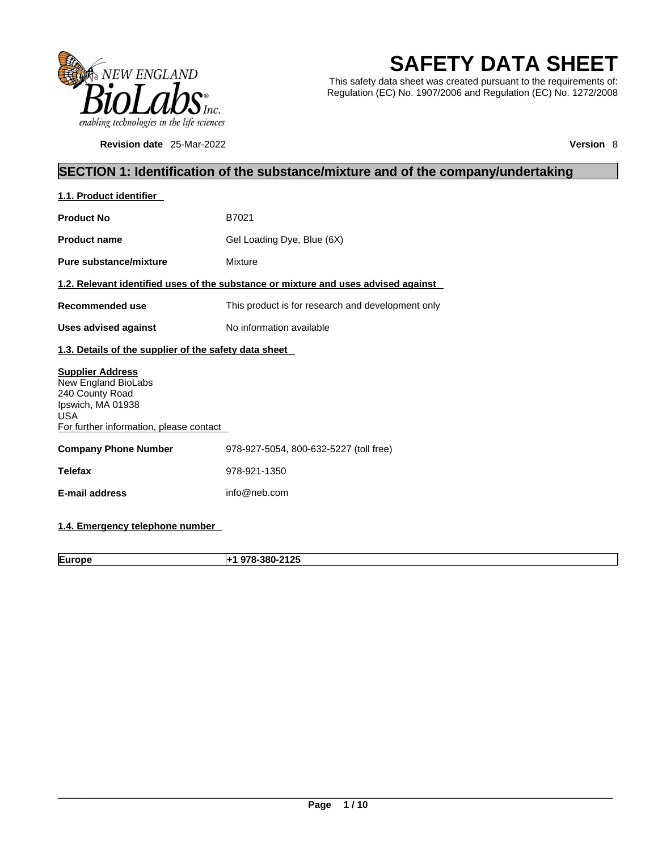

**Revision date** 25-Mar-2022 **Version** 8

# **SAFETY DATA SHEET**

This safety data sheet was created pursuant to the requirements of: Regulation (EC) No. 1907/2006 and Regulation (EC) No. 1272/2008

### **SECTION 1: Identification of the substance/mixture and of the company/undertaking**

| 1.1. Product identifier                                                                                                                         |                                                                                    |
|-------------------------------------------------------------------------------------------------------------------------------------------------|------------------------------------------------------------------------------------|
| <b>Product No</b>                                                                                                                               | B7021                                                                              |
| <b>Product name</b>                                                                                                                             | Gel Loading Dye, Blue (6X)                                                         |
| Pure substance/mixture                                                                                                                          | Mixture                                                                            |
|                                                                                                                                                 | 1.2. Relevant identified uses of the substance or mixture and uses advised against |
| Recommended use                                                                                                                                 | This product is for research and development only                                  |
| <b>Uses advised against</b>                                                                                                                     | No information available                                                           |
| 1.3. Details of the supplier of the safety data sheet                                                                                           |                                                                                    |
| <b>Supplier Address</b><br>New England BioLabs<br>240 County Road<br>Ipswich, MA 01938<br><b>USA</b><br>For further information, please contact |                                                                                    |
| <b>Company Phone Number</b>                                                                                                                     | 978-927-5054, 800-632-5227 (toll free)                                             |
| <b>Telefax</b>                                                                                                                                  | 978-921-1350                                                                       |
| <b>E-mail address</b>                                                                                                                           | info@neb.com                                                                       |
|                                                                                                                                                 |                                                                                    |

### **1.4. Emergency telephone number**

**Europe +1 978-380-2125**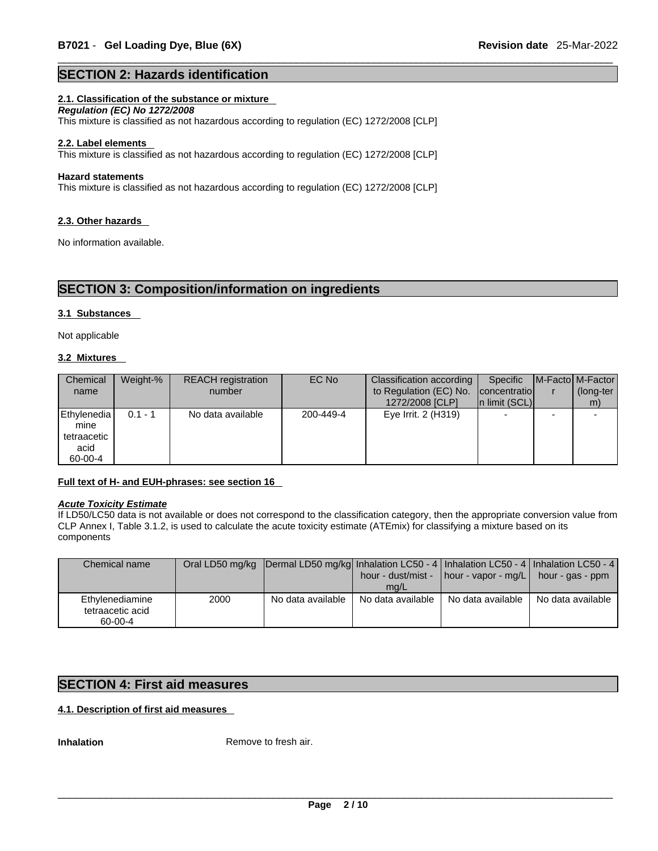#### **SECTION 2: Hazards identification**

#### **2.1. Classification of the substance or mixture**

*Regulation (EC) No 1272/2008*  This mixture is classified as not hazardous according to regulation (EC) 1272/2008 [CLP]

#### **2.2. Label elements**

This mixture is classified as not hazardous according to regulation (EC) 1272/2008 [CLP]

#### **Hazard statements**

This mixture is classified as not hazardous according to regulation (EC) 1272/2008 [CLP]

#### **2.3. Other hazards**

No information available.

### **SECTION 3: Composition/information on ingredients**

#### **3.1 Substances**

Not applicable

#### **3.2 Mixtures**

| Chemical<br>name                                      | Weight-%  | <b>REACH</b> registration<br>number | EC No     | Classification according  <br>to Regulation (EC) No. | Specific<br>concentratio | <b>IM-Factol M-Factor</b><br>(long-ter |
|-------------------------------------------------------|-----------|-------------------------------------|-----------|------------------------------------------------------|--------------------------|----------------------------------------|
|                                                       |           |                                     |           | 1272/2008 [CLP]                                      | In limit (SCL)           | m)                                     |
| Ethylenedia<br>mine<br>tetraacetic<br>acid<br>60-00-4 | $0.1 - 1$ | No data available                   | 200-449-4 | Eye Irrit. 2 (H319)                                  |                          |                                        |

#### **Full text of H- and EUH-phrases: see section 16**

#### *Acute Toxicity Estimate*

If LD50/LC50 data is not available or does not correspond to the classification category, then the appropriate conversion value from CLP Annex I, Table 3.1.2, is used to calculate the acute toxicity estimate (ATEmix) for classifying a mixture based on its components

| Chemical name                                  |      | Oral LD50 mg/kg  Dermal LD50 mg/kg  Inhalation LC50 - 4   Inhalation LC50 - 4   Inhalation LC50 - 4 |                           | hour - dust/mist - $\vert$ hour - vapor - mg/L $\vert$ hour - gas - ppm |                   |  |
|------------------------------------------------|------|-----------------------------------------------------------------------------------------------------|---------------------------|-------------------------------------------------------------------------|-------------------|--|
| Ethylenediamine<br>tetraacetic acid<br>60-00-4 | 2000 | No data available                                                                                   | mq/L<br>No data available | No data available                                                       | No data available |  |

#### **SECTION 4: First aid measures**

#### **4.1. Description of first aid measures**

**Inhalation** Remove to fresh air.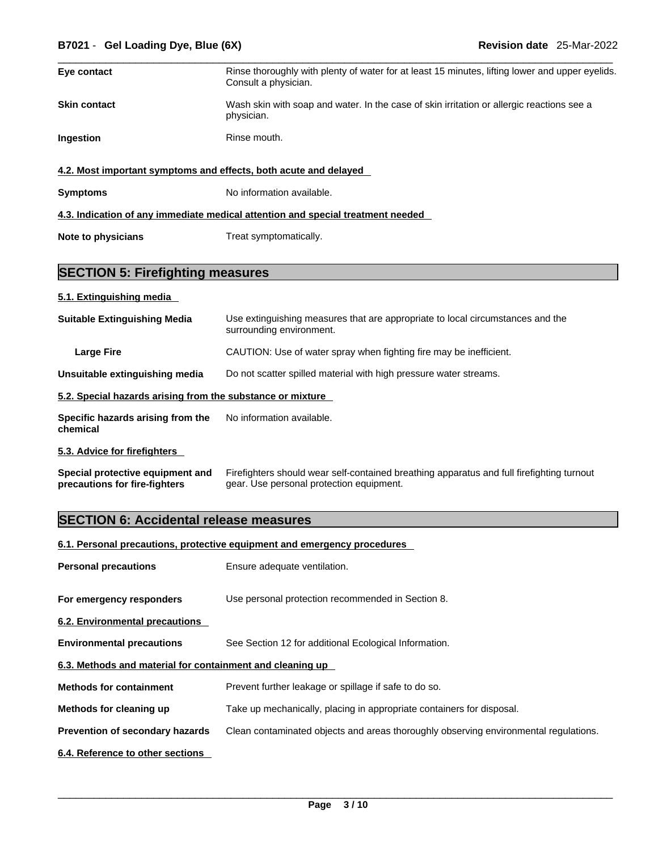| Eye contact                                                                     | Rinse thoroughly with plenty of water for at least 15 minutes, lifting lower and upper eyelids.<br>Consult a physician. |  |  |
|---------------------------------------------------------------------------------|-------------------------------------------------------------------------------------------------------------------------|--|--|
| <b>Skin contact</b>                                                             | Wash skin with soap and water. In the case of skin irritation or allergic reactions see a<br>physician.                 |  |  |
| Ingestion<br>Rinse mouth.                                                       |                                                                                                                         |  |  |
| 4.2. Most important symptoms and effects, both acute and delayed                |                                                                                                                         |  |  |
| <b>Symptoms</b>                                                                 | No information available.                                                                                               |  |  |
| 4.3. Indication of any immediate medical attention and special treatment needed |                                                                                                                         |  |  |

**Note to physicians** Treat symptomatically.

### **SECTION 5: Firefighting measures**

#### **5.1. Extinguishing media**

| <b>Suitable Extinguishing Media</b>                                                                 | Use extinguishing measures that are appropriate to local circumstances and the<br>surrounding environment. |  |
|-----------------------------------------------------------------------------------------------------|------------------------------------------------------------------------------------------------------------|--|
| Large Fire                                                                                          | CAUTION: Use of water spray when fighting fire may be inefficient.                                         |  |
| Do not scatter spilled material with high pressure water streams.<br>Unsuitable extinguishing media |                                                                                                            |  |
| 5.2. Special hazards arising from the substance or mixture                                          |                                                                                                            |  |
| Specific hazards arising from the<br>chemical                                                       | No information available.                                                                                  |  |
| 5.3. Advice for firefighters                                                                        |                                                                                                            |  |

| Special protective equipment and | Firefighters should wear self-contained breathing apparatus and full firefighting turnout |
|----------------------------------|-------------------------------------------------------------------------------------------|
| precautions for fire-fighters    | gear. Use personal protection equipment.                                                  |

## **SECTION 6: Accidental release measures**

#### **6.1. Personal precautions, protective equipment and emergency procedures**

| <b>Personal precautions</b>                               | Ensure adequate ventilation.                                                         |
|-----------------------------------------------------------|--------------------------------------------------------------------------------------|
| For emergency responders                                  | Use personal protection recommended in Section 8.                                    |
| 6.2. Environmental precautions                            |                                                                                      |
| <b>Environmental precautions</b>                          | See Section 12 for additional Ecological Information.                                |
| 6.3. Methods and material for containment and cleaning up |                                                                                      |
| <b>Methods for containment</b>                            | Prevent further leakage or spillage if safe to do so.                                |
| Methods for cleaning up                                   | Take up mechanically, placing in appropriate containers for disposal.                |
| <b>Prevention of secondary hazards</b>                    | Clean contaminated objects and areas thoroughly observing environmental regulations. |
| 6.4. Reference to other sections                          |                                                                                      |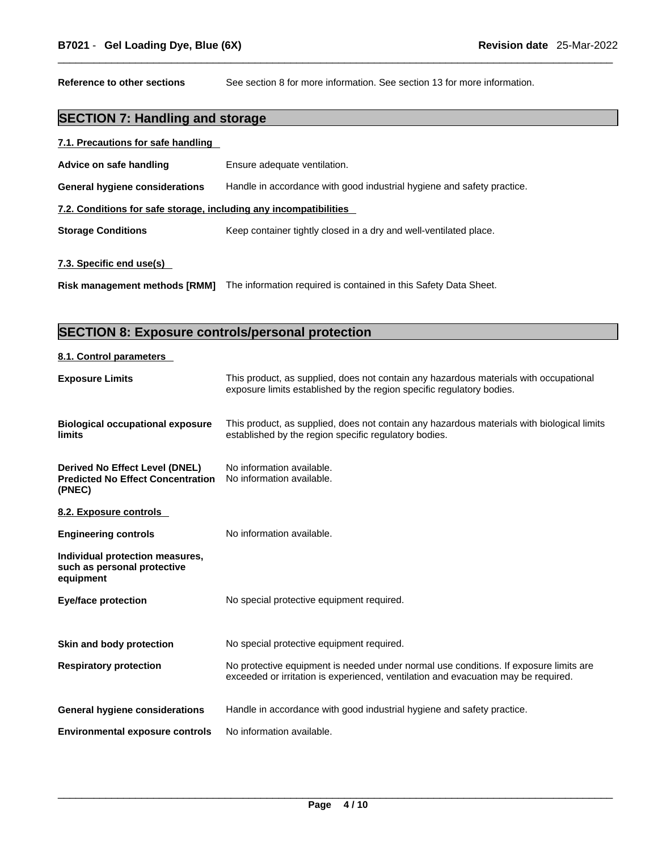**Reference to other sections** See section 8 for more information. See section 13 for more information.

### **SECTION 7: Handling and storage**

| 7.1. Precautions for safe handling |  |
|------------------------------------|--|
|                                    |  |

| Advice on safe handling                                                                        | Ensure adequate ventilation.                                           |  |  |
|------------------------------------------------------------------------------------------------|------------------------------------------------------------------------|--|--|
| <b>General hygiene considerations</b>                                                          | Handle in accordance with good industrial hygiene and safety practice. |  |  |
| 7.2. Conditions for safe storage, including any incompatibilities                              |                                                                        |  |  |
| <b>Storage Conditions</b><br>Keep container tightly closed in a dry and well-ventilated place. |                                                                        |  |  |
| 7.3. Specific end use(s)                                                                       |                                                                        |  |  |
| <b>Risk management methods [RMM]</b>                                                           | The information required is contained in this Safety Data Sheet.       |  |  |

### **SECTION 8: Exposure controls/personal protection**

#### **8.1. Control parameters**

| This product, as supplied, does not contain any hazardous materials with occupational<br>exposure limits established by the region specific regulatory bodies.              |
|-----------------------------------------------------------------------------------------------------------------------------------------------------------------------------|
| This product, as supplied, does not contain any hazardous materials with biological limits<br>established by the region specific regulatory bodies.                         |
| No information available.<br>No information available.                                                                                                                      |
|                                                                                                                                                                             |
| No information available.                                                                                                                                                   |
|                                                                                                                                                                             |
| No special protective equipment required.                                                                                                                                   |
| No special protective equipment required.                                                                                                                                   |
| No protective equipment is needed under normal use conditions. If exposure limits are<br>exceeded or irritation is experienced, ventilation and evacuation may be required. |
| Handle in accordance with good industrial hygiene and safety practice.                                                                                                      |
| No information available.                                                                                                                                                   |
|                                                                                                                                                                             |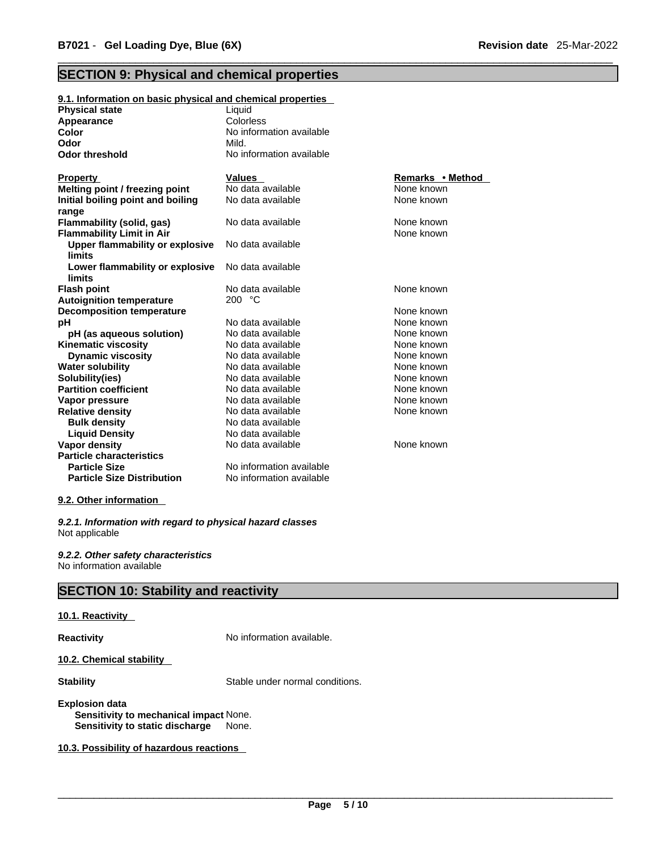### **SECTION 9: Physical and chemical properties**

| 9.1. Information on basic physical and chemical properties |                          |                  |
|------------------------------------------------------------|--------------------------|------------------|
| <b>Physical state</b>                                      | Liquid                   |                  |
| Appearance                                                 | Colorless                |                  |
| Color                                                      | No information available |                  |
| Odor                                                       | Mild.                    |                  |
| <b>Odor threshold</b>                                      | No information available |                  |
| <b>Property</b>                                            | <b>Values</b>            | Remarks • Method |
| Melting point / freezing point                             | No data available        | None known       |
| Initial boiling point and boiling                          | No data available        | None known       |
| range                                                      |                          |                  |
| Flammability (solid, gas)                                  | No data available        | None known       |
| <b>Flammability Limit in Air</b>                           |                          | None known       |
| Upper flammability or explosive<br>limits                  | No data available        |                  |
| Lower flammability or explosive<br>limits                  | No data available        |                  |
| <b>Flash point</b>                                         | No data available        | None known       |
| <b>Autoignition temperature</b>                            | 200 °C                   |                  |
| <b>Decomposition temperature</b>                           |                          | None known       |
| рH                                                         | No data available        | None known       |
| pH (as aqueous solution)                                   | No data available        | None known       |
| <b>Kinematic viscosity</b>                                 | No data available        | None known       |
| <b>Dynamic viscosity</b>                                   | No data available        | None known       |
| <b>Water solubility</b>                                    | No data available        | None known       |
| Solubility(ies)                                            | No data available        | None known       |
| <b>Partition coefficient</b>                               | No data available        | None known       |
| Vapor pressure                                             | No data available        | None known       |
| <b>Relative density</b>                                    | No data available        | None known       |
| <b>Bulk density</b>                                        | No data available        |                  |
| <b>Liquid Density</b>                                      | No data available        |                  |
| <b>Vapor density</b>                                       | No data available        | None known       |
| <b>Particle characteristics</b>                            |                          |                  |
| <b>Particle Size</b>                                       | No information available |                  |
| <b>Particle Size Distribution</b>                          | No information available |                  |
|                                                            |                          |                  |

#### **9.2. Other information**

*9.2.1. Information with regard to physical hazard classes* Not applicable

*9.2.2. Other safety characteristics* No information available

### **SECTION 10: Stability and reactivity**

#### **10.1. Reactivity**

**Reactivity No information available.** 

**10.2. Chemical stability** 

**Stability** Stable under normal conditions.

**Explosion data Sensitivity to mechanical impact** None. **Sensitivity to static discharge** None.

**10.3. Possibility of hazardous reactions**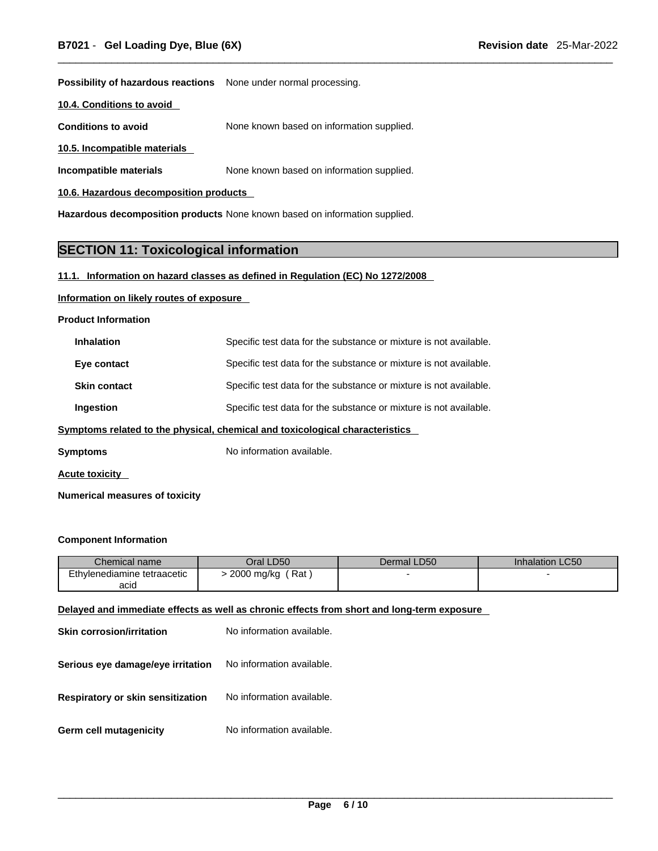**Possibility of hazardous reactions** None under normal processing.

**10.4. Conditions to avoid** 

**Conditions to avoid** None known based on information supplied.

**10.5. Incompatible materials**

**Incompatible materials** None known based on information supplied.

**10.6. Hazardous decomposition products** 

**Hazardous decomposition products** None known based on information supplied.

### **SECTION 11: Toxicological information**

#### **11.1. Information on hazard classes as defined in Regulation (EC) No 1272/2008**

#### **Information on likely routes of exposure**

**Product Information**

| <b>Inhalation</b>                                                            | Specific test data for the substance or mixture is not available. |  |
|------------------------------------------------------------------------------|-------------------------------------------------------------------|--|
| Eye contact                                                                  | Specific test data for the substance or mixture is not available. |  |
| <b>Skin contact</b>                                                          | Specific test data for the substance or mixture is not available. |  |
| Ingestion                                                                    | Specific test data for the substance or mixture is not available. |  |
| Symptoms related to the physical, chemical and toxicological characteristics |                                                                   |  |

**Symptoms** No information available.

**Acute toxicity** 

**Numerical measures of toxicity**

#### **Component Information**

| Chemical name               | Oral LD50         | Dermal LD50 | <b>Inhalation LC50</b> |
|-----------------------------|-------------------|-------------|------------------------|
| Ethylenediamine tetraacetic | 2000 mg/kg<br>Rat |             |                        |
| acid                        |                   |             |                        |

#### **Delayed and immediate effects as well as chronic effects from short and long-term exposure**

| Skin corrosion/irritation         | No information available. |  |  |
|-----------------------------------|---------------------------|--|--|
| Serious eye damage/eye irritation | No information available. |  |  |
| Respiratory or skin sensitization | No information available. |  |  |
| Germ cell mutagenicity            | No information available. |  |  |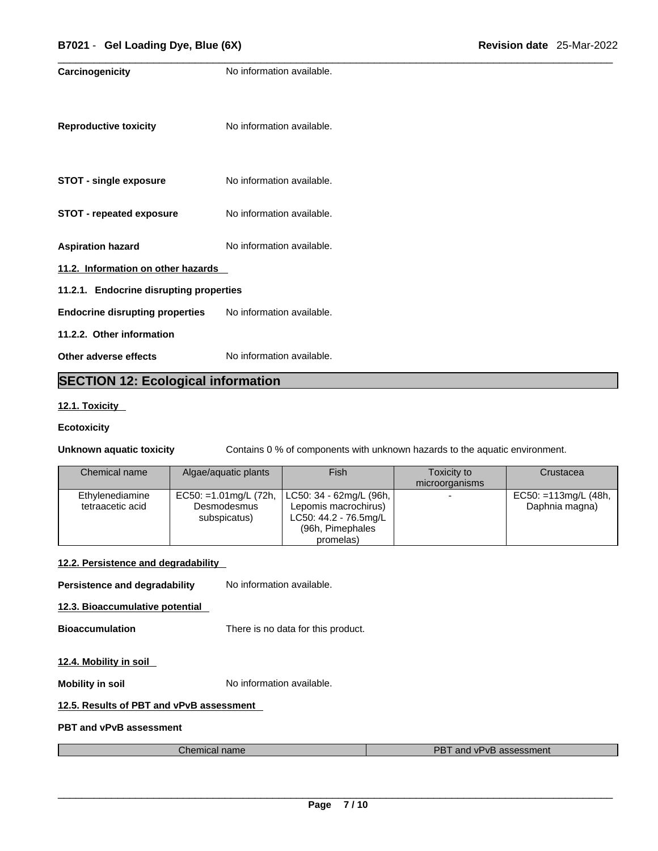| Carcinogenicity                           | No information available. |  |  |
|-------------------------------------------|---------------------------|--|--|
| <b>Reproductive toxicity</b>              | No information available. |  |  |
| <b>STOT - single exposure</b>             | No information available. |  |  |
| <b>STOT - repeated exposure</b>           | No information available. |  |  |
| <b>Aspiration hazard</b>                  | No information available. |  |  |
| 11.2. Information on other hazards        |                           |  |  |
| 11.2.1. Endocrine disrupting properties   |                           |  |  |
| <b>Endocrine disrupting properties</b>    | No information available. |  |  |
| 11.2.2. Other information                 |                           |  |  |
| Other adverse effects                     | No information available. |  |  |
| <b>SECTION 12: Ecological information</b> |                           |  |  |

### **12.1. Toxicity**

#### **Ecotoxicity**

**Unknown aquatic toxicity** Contains 0 % of components with unknown hazards to the aquatic environment.

| Chemical name    | Algae/aquatic plants  | Fish                    | Toxicity to    | Crustacea               |
|------------------|-----------------------|-------------------------|----------------|-------------------------|
|                  |                       |                         | microorganisms |                         |
| Ethylenediamine  | EC50: =1.01mg/L (72h, | LC50: 34 - 62mg/L (96h, |                | $EC50: = 113mg/L (48h,$ |
| tetraacetic acid | Desmodesmus           | Lepomis macrochirus)    |                | Daphnia magna)          |
|                  | subspicatus)          | LC50: 44.2 - 76.5mg/L   |                |                         |
|                  |                       | (96h, Pimephales        |                |                         |
|                  |                       | promelas)               |                |                         |

#### **12.2. Persistence and degradability**

**Persistence and degradability** No information available.

**12.3. Bioaccumulative potential**

**Bioaccumulation** There is no data for this product.

#### **12.4. Mobility in soil**

**Mobility in soil Mobility in soil No** information available.

#### **12.5. Results of PBT and vPvB assessment**

**PBT and vPvB assessment**

| Chemical name | <b>PBT</b><br>and vPvB assessment |
|---------------|-----------------------------------|
|               |                                   |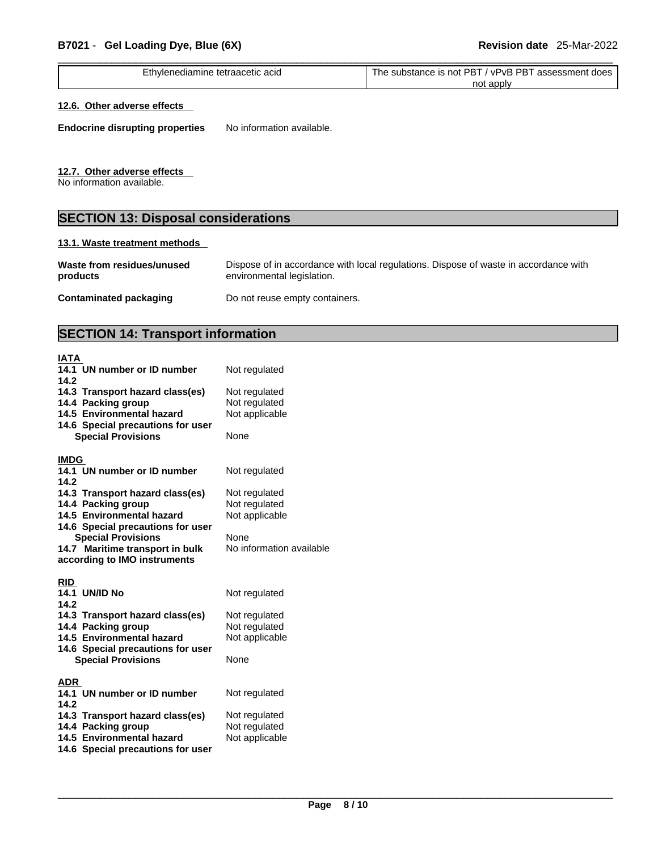| Ethvl<br>ivlenediamine tetraacetic acid | PBT<br>substance is not PBT<br>′ vPvB<br>assessment does<br>he |
|-----------------------------------------|----------------------------------------------------------------|
|                                         |                                                                |
|                                         | not apply                                                      |
|                                         |                                                                |

#### **12.6. Other adverse effects**

**Endocrine disrupting properties** No information available.

#### **12.7. Other adverse effects**

No information available.

### **SECTION 13: Disposal considerations**

#### **13.1. Waste treatment methods**

| Waste from residues/unused    | Dispose of in accordance with local regulations. Dispose of waste in accordance with |
|-------------------------------|--------------------------------------------------------------------------------------|
| products                      | environmental legislation.                                                           |
| <b>Contaminated packaging</b> | Do not reuse empty containers.                                                       |

### **SECTION 14: Transport information**

| IATA<br>14.1 UN number or ID number<br>14.2<br>14.3 Transport hazard class(es)<br>14.4 Packing group<br>14.5 Environmental hazard<br>14.6 Special precautions for user<br><b>Special Provisions</b>                     | Not regulated<br>Not regulated<br>Not regulated<br>Not applicable<br>None            |
|-------------------------------------------------------------------------------------------------------------------------------------------------------------------------------------------------------------------------|--------------------------------------------------------------------------------------|
| <b>IMDG</b><br>14.1 UN number or ID number<br>14.2                                                                                                                                                                      | Not regulated                                                                        |
| 14.3 Transport hazard class(es)<br>14.4 Packing group<br>14.5 Environmental hazard<br>14.6 Special precautions for user<br><b>Special Provisions</b><br>14.7 Maritime transport in bulk<br>according to IMO instruments | Not regulated<br>Not regulated<br>Not applicable<br>None<br>No information available |
| <b>RID</b><br><b>14.1 UN/ID No</b><br>14.2                                                                                                                                                                              | Not regulated                                                                        |
| 14.3 Transport hazard class(es)<br>14.4 Packing group<br>14.5 Environmental hazard<br>14.6 Special precautions for user<br><b>Special Provisions</b>                                                                    | Not regulated<br>Not regulated<br>Not applicable<br>None                             |
| <b>ADR</b><br>14.1 UN number or ID number<br>14.2                                                                                                                                                                       | Not regulated                                                                        |
| 14.3 Transport hazard class(es)<br>14.4 Packing group<br>14.5 Environmental hazard<br>14.6 Special precautions for user                                                                                                 | Not regulated<br>Not regulated<br>Not applicable                                     |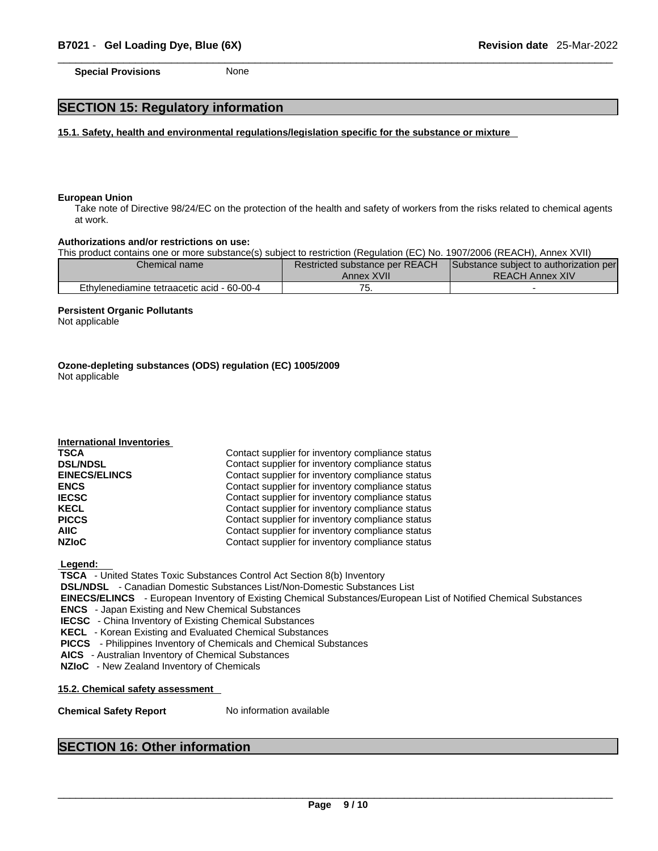**Special Provisions** None

### **SECTION 15: Regulatory information**

**15.1. Safety, health and environmental regulations/legislation specific for the substance or mixture**

#### **European Union**

Take note of Directive 98/24/EC on the protection of the health and safety of workers from the risks related to chemical agents at work.

#### **Authorizations and/or restrictions on use:**

This product contains one or more substance(s) subject to restriction (Regulation (EC) No. 1907/2006 (REACH), Annex XVII)

| Chemical name                              | Restricted substance per REACH | Substance subject to authorization per |  |
|--------------------------------------------|--------------------------------|----------------------------------------|--|
|                                            | Annex XVII                     | <b>REACH Annex XIV</b>                 |  |
| Ethylenediamine tetraacetic acid - 60-00-4 | . ب                            |                                        |  |

#### **Persistent Organic Pollutants**

**International Inventories**

Not applicable

**Ozone-depleting substances (ODS) regulation (EC) 1005/2009** Not applicable

| $n_{\rm U}$          |                                                  |
|----------------------|--------------------------------------------------|
| <b>TSCA</b>          | Contact supplier for inventory compliance status |
| <b>DSL/NDSL</b>      | Contact supplier for inventory compliance status |
| <b>EINECS/ELINCS</b> | Contact supplier for inventory compliance status |
| <b>ENCS</b>          | Contact supplier for inventory compliance status |
| <b>IECSC</b>         | Contact supplier for inventory compliance status |
| KECL                 | Contact supplier for inventory compliance status |
| <b>PICCS</b>         | Contact supplier for inventory compliance status |
| <b>AIIC</b>          | Contact supplier for inventory compliance status |
| <b>NZIoC</b>         | Contact supplier for inventory compliance status |
|                      |                                                  |

 **Legend:** 

 **TSCA** - United States Toxic Substances Control Act Section 8(b) Inventory

 **DSL/NDSL** - Canadian Domestic Substances List/Non-Domestic Substances List

 **EINECS/ELINCS** - European Inventory of Existing Chemical Substances/European List of Notified Chemical Substances

 **ENCS** - Japan Existing and New Chemical Substances

 **IECSC** - China Inventory of Existing Chemical Substances

 **KECL** - Korean Existing and Evaluated Chemical Substances

 **PICCS** - Philippines Inventory of Chemicals and Chemical Substances

 **AICS** - Australian Inventory of Chemical Substances

 **NZIoC** - New Zealand Inventory of Chemicals

**15.2. Chemical safety assessment**

**Chemical Safety Report** No information available

#### **SECTION 16: Other information**